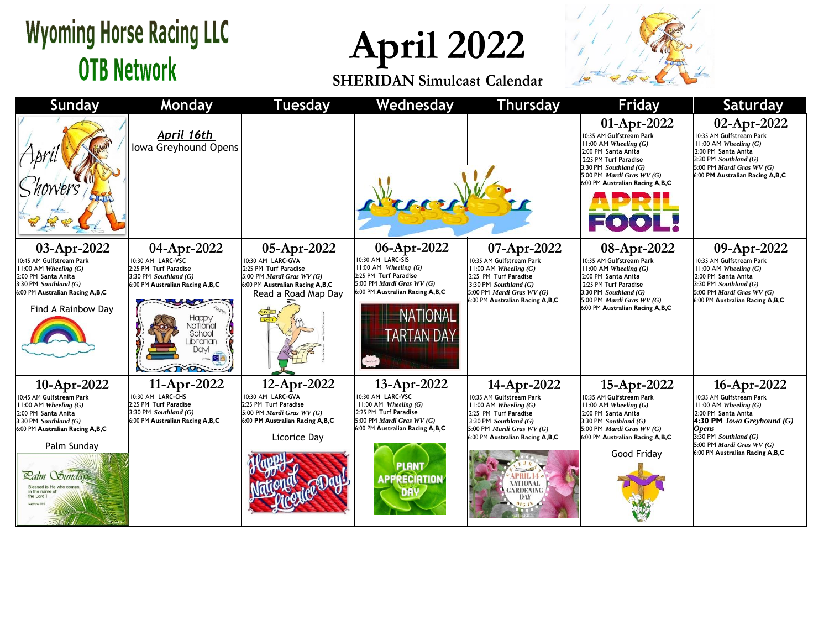## **Wyoming Horse Racing LLC OTB Network**

**April 2022**

**SHERIDAN Simulcast Calendar**



| Sunday                                                                                                                                                                                                                                                               | Monday                                                                                                                                                                                      | <b>Tuesday</b>                                                                                                                                   | Wednesday                                                                                                                                                                                      | <b>Thursday</b>                                                                                                                                                                                                                                                    | <b>Friday</b>                                                                                                                                                                                                            | <b>Saturday</b>                                                                                                                                                                                                                         |
|----------------------------------------------------------------------------------------------------------------------------------------------------------------------------------------------------------------------------------------------------------------------|---------------------------------------------------------------------------------------------------------------------------------------------------------------------------------------------|--------------------------------------------------------------------------------------------------------------------------------------------------|------------------------------------------------------------------------------------------------------------------------------------------------------------------------------------------------|--------------------------------------------------------------------------------------------------------------------------------------------------------------------------------------------------------------------------------------------------------------------|--------------------------------------------------------------------------------------------------------------------------------------------------------------------------------------------------------------------------|-----------------------------------------------------------------------------------------------------------------------------------------------------------------------------------------------------------------------------------------|
|                                                                                                                                                                                                                                                                      | <u>April 16th</u><br>Iowa Greyhound Opens                                                                                                                                                   |                                                                                                                                                  |                                                                                                                                                                                                |                                                                                                                                                                                                                                                                    | 01-Apr-2022<br>10:35 AM Gulfstream Park<br>$11:00$ AM Wheeling $(G)$<br>2:00 PM Santa Anita<br>2:25 PM Turf Paradise<br>3:30 PM Southland $(G)$<br>5:00 PM Mardi Gras WV (G)<br>6:00 PM Australian Racing A,B,C<br>FOOL! | 02-Apr-2022<br>10:35 AM Gulfstream Park<br>$11:00$ AM Wheeling $(G)$<br>2:00 PM Santa Anita<br>3:30 PM Southland $(G)$<br>5:00 PM Mardi Gras $WV(G)$<br>6:00 PM Australian Racing A,B,C                                                 |
| 03-Apr-2022<br>10:45 AM Gulfstream Park<br>$11:00$ AM Wheeling $(G)$<br>2:00 PM Santa Anita<br>$3:30$ PM Southland $(G)$<br>6:00 PM Australian Racing A,B,C<br>Find A Rainbow Day                                                                                    | 04-Apr-2022<br>10:30 AM LARC-VSC<br>2:25 PM Turf Paradise<br>$3:30$ PM Southland $(G)$<br>6:00 PM Australian Racing A,B,C<br>Happy<br><b>National</b><br>School<br>Librarian<br><b>Davi</b> | 05-Apr-2022<br>10:30 AM LARC-GVA<br>2:25 PM Turf Paradise<br>5:00 PM Mardi Gras WV (G)<br>6:00 PM Australian Racing A,B,C<br>Read a Road Map Day | 06-Apr-2022<br>10:30 AM LARC-SIS<br>$11:00$ AM Wheeling $(G)$<br>2:25 PM Turf Paradise<br>5:00 PM Mardi Gras WV (G)<br>6:00 PM Australian Racing A,B,C<br><b>NATIONAL</b><br><b>ARTAN DAY</b>  | 07-Apr-2022<br>10:35 AM Gulfstream Park<br>$11:00$ AM Wheeling $(G)$<br>2:25 PM Turf Paradise<br>3:30 PM Southland $(G)$<br>5:00 PM Mardi Gras $WV(G)$<br>6:00 PM Australian Racing A,B,C                                                                          | 08-Apr-2022<br>10:35 AM Gulfstream Park<br>$11:00$ AM Wheeling $(G)$<br>2:00 PM Santa Anita<br>2:25 PM Turf Paradise<br>3:30 PM Southland $(G)$<br>5:00 PM Mardi Gras WV (G)<br>6:00 PM Australian Racing A,B,C          | 09-Apr-2022<br>10:35 AM Gulfstream Park<br>$11:00$ AM Wheeling $(G)$<br>2:00 PM Santa Anita<br>3:30 PM Southland $(G)$<br>5:00 PM Mardi Gras $WV(G)$<br>6:00 PM Australian Racing A,B,C                                                 |
| 10-Apr-2022<br>10:45 AM Gulfstream Park<br>$11:00$ AM Wheeling $(G)$<br>2:00 PM Santa Anita<br>$3:30$ PM Southland $(G)$<br>6:00 PM Australian Racing A,B,C<br>Palm Sunday<br><b>Zalm Sunday</b><br>Blessed is He who come<br>in the name<br>the Lord<br>Matthew 21: | 11-Apr-2022<br>10:30 AM LARC-CHS<br>2:25 PM Turf Paradise<br>3:30 PM Southland $(G)$<br>6:00 PM Australian Racing A,B,C                                                                     | 12-Apr-2022<br>10:30 AM LARC-GVA<br>2:25 PM Turf Paradise<br>5:00 PM Mardi Gras WV (G)<br>6:00 PM Australian Racing A,B,C<br>Licorice Day        | 13-Apr-2022<br>10:30 AM LARC-VSC<br>$11:00$ AM Wheeling $(G)$<br>2:25 PM Turf Paradise<br>5:00 PM Mardi Gras $WV(G)$<br>6:00 PM Australian Racing A,B,C<br><b>PLANT</b><br><b>APPRECIATION</b> | 14-Apr-2022<br>10:35 AM Gulfstream Park<br>$11:00$ AM Wheeling $(G)$<br>2:25 PM Turf Paradise<br>3:30 PM Southland $(G)$<br>5:00 PM <i>Mardi Gras WV</i> $(G)$<br>6:00 PM Australian Racing A,B,C<br>PRIL L<br><b>NATIONAL</b><br><b>GARDENING</b><br>DAY<br>D161N | 15-Apr-2022<br>10:35 AM Gulfstream Park<br>$11:00$ AM Wheeling $(G)$<br>2:00 PM Santa Anita<br>$3:30$ PM Southland $(G)$<br>5:00 PM <i>Mardi Gras WV</i> $(G)$<br>6:00 PM Australian Racing A,B,C<br>Good Friday         | 16-Apr-2022<br>10:35 AM Gulfstream Park<br>$11:00$ AM Wheeling $(G)$<br>2:00 PM Santa Anita<br>4:30 PM Iowa Greyhound $(G)$<br><b>Opens</b><br>3:30 PM Southland $(G)$<br>5:00 PM Mardi Gras $WV(G)$<br>6:00 PM Australian Racing A,B,C |